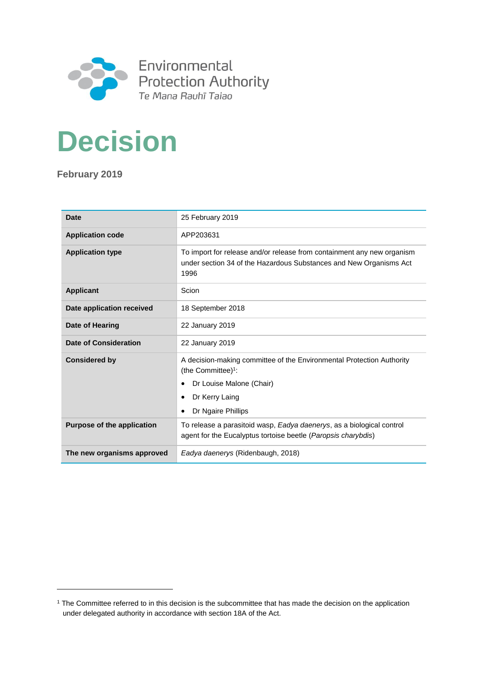

# **Decision**

**February 2019**

l

| Date                              | 25 February 2019                                                                                                                                     |
|-----------------------------------|------------------------------------------------------------------------------------------------------------------------------------------------------|
| <b>Application code</b>           | APP203631                                                                                                                                            |
| <b>Application type</b>           | To import for release and/or release from containment any new organism<br>under section 34 of the Hazardous Substances and New Organisms Act<br>1996 |
| <b>Applicant</b>                  | Scion                                                                                                                                                |
| Date application received         | 18 September 2018                                                                                                                                    |
| <b>Date of Hearing</b>            | 22 January 2019                                                                                                                                      |
| Date of Consideration             | 22 January 2019                                                                                                                                      |
| <b>Considered by</b>              | A decision-making committee of the Environmental Protection Authority<br>(the Committee) <sup>1</sup> :<br>Dr Louise Malone (Chair)                  |
|                                   | Dr Kerry Laing                                                                                                                                       |
|                                   | Dr Ngaire Phillips                                                                                                                                   |
| <b>Purpose of the application</b> | To release a parasitoid wasp, Eadya daenerys, as a biological control<br>agent for the Eucalyptus tortoise beetle (Paropsis charybdis)               |
| The new organisms approved        | Eadya daenerys (Ridenbaugh, 2018)                                                                                                                    |

<sup>1</sup> The Committee referred to in this decision is the subcommittee that has made the decision on the application under delegated authority in accordance with section 18A of the Act.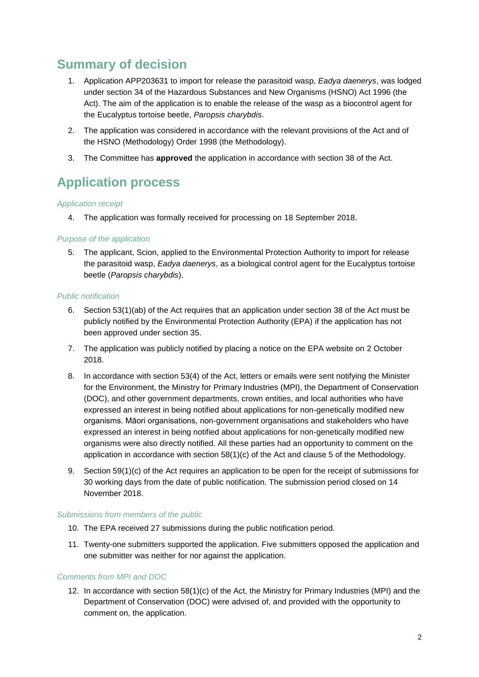# **Summary of decision**

- 1. Application APP203631 to import for release the parasitoid wasp, *Eadya daenerys*, was lodged under section 34 of the Hazardous Substances and New Organisms (HSNO) Act 1996 (the Act). The aim of the application is to enable the release of the wasp as a biocontrol agent for the Eucalyptus tortoise beetle, *Paropsis charybdis*.
- 2. The application was considered in accordance with the relevant provisions of the Act and of the HSNO (Methodology) Order 1998 (the Methodology).
- 3. The Committee has **approved** the application in accordance with section 38 of the Act.

# **Application process**

### *Application receipt*

4. The application was formally received for processing on 18 September 2018.

## *Purpose of the application*

5. The applicant, Scion, applied to the Environmental Protection Authority to import for release the parasitoid wasp, *Eadya daenerys*, as a biological control agent for the Eucalyptus tortoise beetle (*Paropsis charybdis*).

### *Public notification*

- 6. Section 53(1)(ab) of the Act requires that an application under section 38 of the Act must be publicly notified by the Environmental Protection Authority (EPA) if the application has not been approved under section 35.
- 7. The application was publicly notified by placing a notice on the EPA website on 2 October 2018.
- 8. In accordance with section 53(4) of the Act, letters or emails were sent notifying the Minister for the Environment, the Ministry for Primary Industries (MPI), the Department of Conservation (DOC), and other government departments, crown entities, and local authorities who have expressed an interest in being notified about applications for non-genetically modified new organisms. Māori organisations, non-government organisations and stakeholders who have expressed an interest in being notified about applications for non-genetically modified new organisms were also directly notified. All these parties had an opportunity to comment on the application in accordance with section 58(1)(c) of the Act and clause 5 of the Methodology.
- 9. Section 59(1)(c) of the Act requires an application to be open for the receipt of submissions for 30 working days from the date of public notification. The submission period closed on 14 November 2018.

### *Submissions from members of the public*

- 10. The EPA received 27 submissions during the public notification period.
- 11. Twenty-one submitters supported the application. Five submitters opposed the application and one submitter was neither for nor against the application.

## *Comments from MPI and DOC*

12. In accordance with section 58(1)(c) of the Act, the Ministry for Primary Industries (MPI) and the Department of Conservation (DOC) were advised of, and provided with the opportunity to comment on, the application.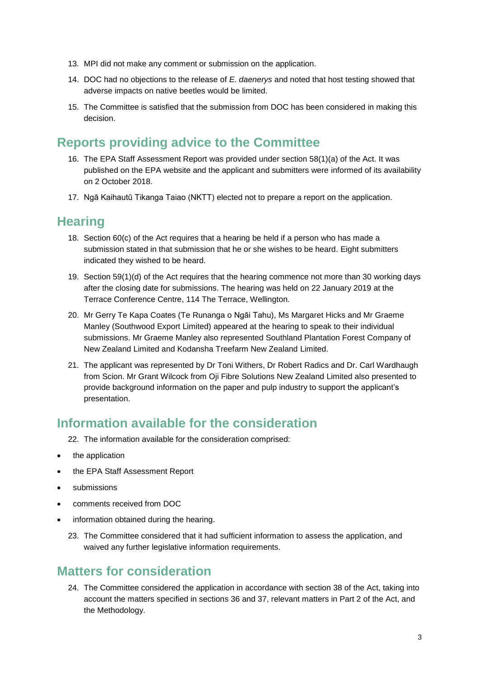- 13. MPI did not make any comment or submission on the application.
- 14. DOC had no objections to the release of *E. daenerys* and noted that host testing showed that adverse impacts on native beetles would be limited.
- 15. The Committee is satisfied that the submission from DOC has been considered in making this decision.

# **Reports providing advice to the Committee**

- 16. The EPA Staff Assessment Report was provided under section 58(1)(a) of the Act. It was published on the EPA website and the applicant and submitters were informed of its availability on 2 October 2018.
- 17. Ngā Kaihautū Tikanga Taiao (NKTT) elected not to prepare a report on the application.

# **Hearing**

- 18. Section 60(c) of the Act requires that a hearing be held if a person who has made a submission stated in that submission that he or she wishes to be heard. Eight submitters indicated they wished to be heard.
- 19. Section 59(1)(d) of the Act requires that the hearing commence not more than 30 working days after the closing date for submissions. The hearing was held on 22 January 2019 at the Terrace Conference Centre, 114 The Terrace, Wellington.
- 20. Mr Gerry Te Kapa Coates (Te Runanga o Ngāi Tahu), Ms Margaret Hicks and Mr Graeme Manley (Southwood Export Limited) appeared at the hearing to speak to their individual submissions. Mr Graeme Manley also represented Southland Plantation Forest Company of New Zealand Limited and Kodansha Treefarm New Zealand Limited.
- 21. The applicant was represented by Dr Toni Withers, Dr Robert Radics and Dr. Carl Wardhaugh from Scion. Mr Grant Wilcock from Oji Fibre Solutions New Zealand Limited also presented to provide background information on the paper and pulp industry to support the applicant's presentation.

# **Information available for the consideration**

- 22. The information available for the consideration comprised:
- the application
- the EPA Staff Assessment Report
- submissions
- comments received from DOC
- information obtained during the hearing.
	- 23. The Committee considered that it had sufficient information to assess the application, and waived any further legislative information requirements.

# **Matters for consideration**

24. The Committee considered the application in accordance with section 38 of the Act, taking into account the matters specified in sections 36 and 37, relevant matters in Part 2 of the Act, and the Methodology.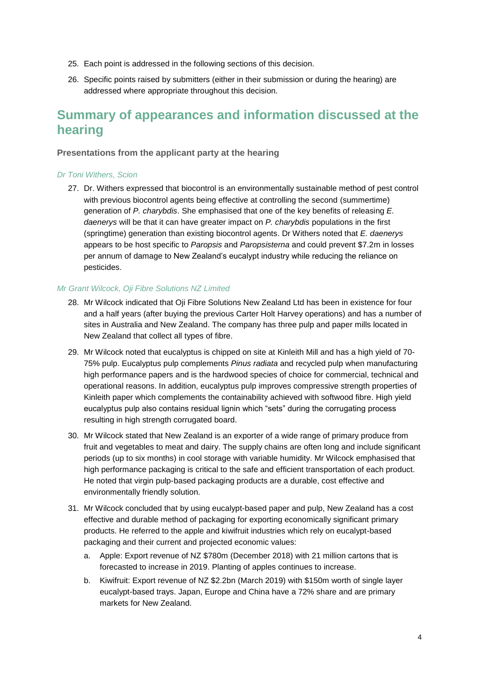- 25. Each point is addressed in the following sections of this decision.
- 26. Specific points raised by submitters (either in their submission or during the hearing) are addressed where appropriate throughout this decision.

# **Summary of appearances and information discussed at the hearing**

### **Presentations from the applicant party at the hearing**

### *Dr Toni Withers, Scion*

27. Dr. Withers expressed that biocontrol is an environmentally sustainable method of pest control with previous biocontrol agents being effective at controlling the second (summertime) generation of *P. charybdis*. She emphasised that one of the key benefits of releasing *E. daenerys* will be that it can have greater impact on *P. charybdis* populations in the first (springtime) generation than existing biocontrol agents. Dr Withers noted that *E. daenerys* appears to be host specific to *Paropsis* and *Paropsisterna* and could prevent \$7.2m in losses per annum of damage to New Zealand's eucalypt industry while reducing the reliance on pesticides.

### *Mr Grant Wilcock, Oji Fibre Solutions NZ Limited*

- 28. Mr Wilcock indicated that Oji Fibre Solutions New Zealand Ltd has been in existence for four and a half years (after buying the previous Carter Holt Harvey operations) and has a number of sites in Australia and New Zealand. The company has three pulp and paper mills located in New Zealand that collect all types of fibre.
- 29. Mr Wilcock noted that eucalyptus is chipped on site at Kinleith Mill and has a high yield of 70- 75% pulp. Eucalyptus pulp complements *Pinus radiata* and recycled pulp when manufacturing high performance papers and is the hardwood species of choice for commercial, technical and operational reasons. In addition, eucalyptus pulp improves compressive strength properties of Kinleith paper which complements the containability achieved with softwood fibre. High yield eucalyptus pulp also contains residual lignin which "sets" during the corrugating process resulting in high strength corrugated board.
- 30. Mr Wilcock stated that New Zealand is an exporter of a wide range of primary produce from fruit and vegetables to meat and dairy. The supply chains are often long and include significant periods (up to six months) in cool storage with variable humidity. Mr Wilcock emphasised that high performance packaging is critical to the safe and efficient transportation of each product. He noted that virgin pulp-based packaging products are a durable, cost effective and environmentally friendly solution.
- 31. Mr Wilcock concluded that by using eucalypt-based paper and pulp, New Zealand has a cost effective and durable method of packaging for exporting economically significant primary products. He referred to the apple and kiwifruit industries which rely on eucalypt-based packaging and their current and projected economic values:
	- a. Apple: Export revenue of NZ \$780m (December 2018) with 21 million cartons that is forecasted to increase in 2019. Planting of apples continues to increase.
	- b. Kiwifruit: Export revenue of NZ \$2.2bn (March 2019) with \$150m worth of single layer eucalypt-based trays. Japan, Europe and China have a 72% share and are primary markets for New Zealand.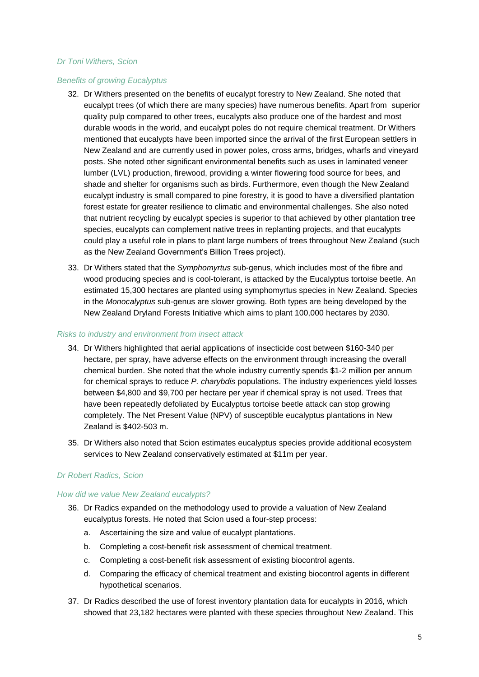#### *Dr Toni Withers, Scion*

### *Benefits of growing Eucalyptus*

- 32. Dr Withers presented on the benefits of eucalypt forestry to New Zealand. She noted that eucalypt trees (of which there are many species) have numerous benefits. Apart from superior quality pulp compared to other trees, eucalypts also produce one of the hardest and most durable woods in the world, and eucalypt poles do not require chemical treatment. Dr Withers mentioned that eucalypts have been imported since the arrival of the first European settlers in New Zealand and are currently used in power poles, cross arms, bridges, wharfs and vineyard posts. She noted other significant environmental benefits such as uses in laminated veneer lumber (LVL) production, firewood, providing a winter flowering food source for bees, and shade and shelter for organisms such as birds. Furthermore, even though the New Zealand eucalypt industry is small compared to pine forestry, it is good to have a diversified plantation forest estate for greater resilience to climatic and environmental challenges. She also noted that nutrient recycling by eucalypt species is superior to that achieved by other plantation tree species, eucalypts can complement native trees in replanting projects, and that eucalypts could play a useful role in plans to plant large numbers of trees throughout New Zealand (such as the New Zealand Government's Billion Trees project).
- 33. Dr Withers stated that the *Symphomyrtus* sub-genus, which includes most of the fibre and wood producing species and is cool-tolerant, is attacked by the Eucalyptus tortoise beetle. An estimated 15,300 hectares are planted using symphomyrtus species in New Zealand. Species in the *Monocalyptus* sub-genus are slower growing. Both types are being developed by the New Zealand Dryland Forests Initiative which aims to plant 100,000 hectares by 2030.

#### *Risks to industry and environment from insect attack*

- 34. Dr Withers highlighted that aerial applications of insecticide cost between \$160-340 per hectare, per spray, have adverse effects on the environment through increasing the overall chemical burden. She noted that the whole industry currently spends \$1-2 million per annum for chemical sprays to reduce *P. charybdis* populations. The industry experiences yield losses between \$4,800 and \$9,700 per hectare per year if chemical spray is not used. Trees that have been repeatedly defoliated by Eucalyptus tortoise beetle attack can stop growing completely. The Net Present Value (NPV) of susceptible eucalyptus plantations in New Zealand is \$402-503 m.
- 35. Dr Withers also noted that Scion estimates eucalyptus species provide additional ecosystem services to New Zealand conservatively estimated at \$11m per year.

### *Dr Robert Radics, Scion*

#### *How did we value New Zealand eucalypts?*

- 36. Dr Radics expanded on the methodology used to provide a valuation of New Zealand eucalyptus forests. He noted that Scion used a four-step process:
	- a. Ascertaining the size and value of eucalypt plantations.
	- b. Completing a cost-benefit risk assessment of chemical treatment.
	- c. Completing a cost-benefit risk assessment of existing biocontrol agents.
	- d. Comparing the efficacy of chemical treatment and existing biocontrol agents in different hypothetical scenarios.
- 37. Dr Radics described the use of forest inventory plantation data for eucalypts in 2016, which showed that 23,182 hectares were planted with these species throughout New Zealand. This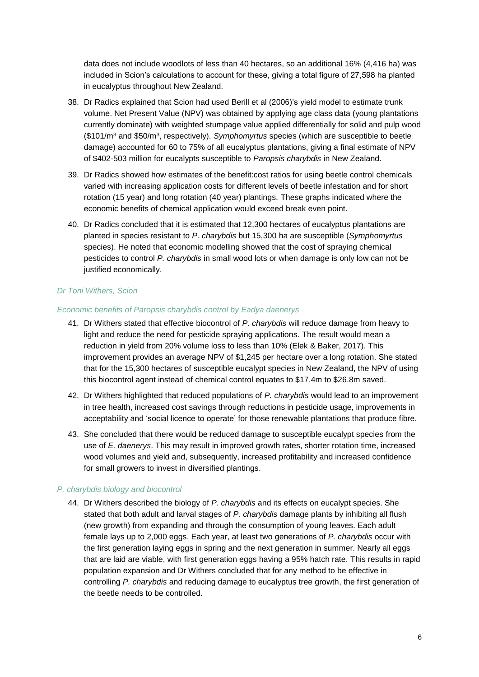data does not include woodlots of less than 40 hectares, so an additional 16% (4,416 ha) was included in Scion's calculations to account for these, giving a total figure of 27,598 ha planted in eucalyptus throughout New Zealand.

- 38. Dr Radics explained that Scion had used Berill et al (2006)'s yield model to estimate trunk volume. Net Present Value (NPV) was obtained by applying age class data (young plantations currently dominate) with weighted stumpage value applied differentially for solid and pulp wood (\$101/m<sup>3</sup> and \$50/m<sup>3</sup> , respectively). *Symphomyrtus* species (which are susceptible to beetle damage) accounted for 60 to 75% of all eucalyptus plantations, giving a final estimate of NPV of \$402-503 million for eucalypts susceptible to *Paropsis charybdis* in New Zealand.
- 39. Dr Radics showed how estimates of the benefit:cost ratios for using beetle control chemicals varied with increasing application costs for different levels of beetle infestation and for short rotation (15 year) and long rotation (40 year) plantings. These graphs indicated where the economic benefits of chemical application would exceed break even point.
- 40. Dr Radics concluded that it is estimated that 12,300 hectares of eucalyptus plantations are planted in species resistant to *P. charybdis* but 15,300 ha are susceptible (*Symphomyrtus* species). He noted that economic modelling showed that the cost of spraying chemical pesticides to control *P. charybdis* in small wood lots or when damage is only low can not be justified economically.

## *Dr Toni Withers, Scion*

#### *Economic benefits of Paropsis charybdis control by Eadya daenerys*

- 41. Dr Withers stated that effective biocontrol of *P. charybdis* will reduce damage from heavy to light and reduce the need for pesticide spraying applications. The result would mean a reduction in yield from 20% volume loss to less than 10% (Elek & Baker, 2017). This improvement provides an average NPV of \$1,245 per hectare over a long rotation. She stated that for the 15,300 hectares of susceptible eucalypt species in New Zealand, the NPV of using this biocontrol agent instead of chemical control equates to \$17.4m to \$26.8m saved.
- 42. Dr Withers highlighted that reduced populations of *P. charybdis* would lead to an improvement in tree health, increased cost savings through reductions in pesticide usage, improvements in acceptability and 'social licence to operate' for those renewable plantations that produce fibre.
- 43. She concluded that there would be reduced damage to susceptible eucalypt species from the use of *E. daenerys*. This may result in improved growth rates, shorter rotation time, increased wood volumes and yield and, subsequently, increased profitability and increased confidence for small growers to invest in diversified plantings.

### *P. charybdis biology and biocontrol*

44. Dr Withers described the biology of *P. charybdis* and its effects on eucalypt species. She stated that both adult and larval stages of *P. charybdis* damage plants by inhibiting all flush (new growth) from expanding and through the consumption of young leaves. Each adult female lays up to 2,000 eggs. Each year, at least two generations of *P. charybdis* occur with the first generation laying eggs in spring and the next generation in summer. Nearly all eggs that are laid are viable, with first generation eggs having a 95% hatch rate. This results in rapid population expansion and Dr Withers concluded that for any method to be effective in controlling *P. charybdis* and reducing damage to eucalyptus tree growth, the first generation of the beetle needs to be controlled.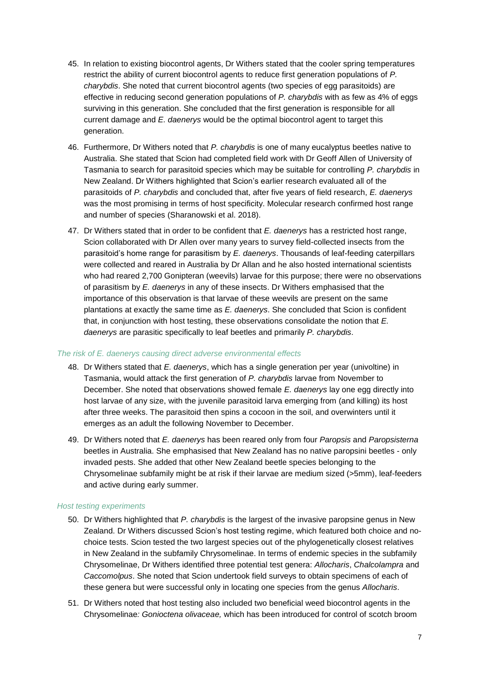- 45. In relation to existing biocontrol agents, Dr Withers stated that the cooler spring temperatures restrict the ability of current biocontrol agents to reduce first generation populations of *P. charybdis*. She noted that current biocontrol agents (two species of egg parasitoids) are effective in reducing second generation populations of *P. charybdis* with as few as 4% of eggs surviving in this generation. She concluded that the first generation is responsible for all current damage and *E. daenerys* would be the optimal biocontrol agent to target this generation.
- 46. Furthermore, Dr Withers noted that *P. charybdis* is one of many eucalyptus beetles native to Australia. She stated that Scion had completed field work with Dr Geoff Allen of University of Tasmania to search for parasitoid species which may be suitable for controlling *P. charybdis* in New Zealand. Dr Withers highlighted that Scion's earlier research evaluated all of the parasitoids of *P. charybdis* and concluded that, after five years of field research, *E. daenerys* was the most promising in terms of host specificity. Molecular research confirmed host range and number of species (Sharanowski et al. 2018).
- 47. Dr Withers stated that in order to be confident that *E. daenerys* has a restricted host range, Scion collaborated with Dr Allen over many years to survey field-collected insects from the parasitoid's home range for parasitism by *E. daenerys*. Thousands of leaf-feeding caterpillars were collected and reared in Australia by Dr Allan and he also hosted international scientists who had reared 2,700 Gonipteran (weevils) larvae for this purpose; there were no observations of parasitism by *E. daenerys* in any of these insects. Dr Withers emphasised that the importance of this observation is that larvae of these weevils are present on the same plantations at exactly the same time as *E. daenerys*. She concluded that Scion is confident that, in conjunction with host testing, these observations consolidate the notion that *E. daenerys* are parasitic specifically to leaf beetles and primarily *P. charybdis*.

#### *The risk of E. daenerys causing direct adverse environmental effects*

- 48. Dr Withers stated that *E. daenerys*, which has a single generation per year (univoltine) in Tasmania, would attack the first generation of *P. charybdis* larvae from November to December. She noted that observations showed female *E. daenerys* lay one egg directly into host larvae of any size, with the juvenile parasitoid larva emerging from (and killing) its host after three weeks. The parasitoid then spins a cocoon in the soil, and overwinters until it emerges as an adult the following November to December.
- 49. Dr Withers noted that *E. daenerys* has been reared only from four *Paropsis* and *Paropsisterna*  beetles in Australia. She emphasised that New Zealand has no native paropsini beetles - only invaded pests. She added that other New Zealand beetle species belonging to the Chrysomelinae subfamily might be at risk if their larvae are medium sized (>5mm), leaf-feeders and active during early summer.

#### *Host testing experiments*

- 50. Dr Withers highlighted that *P. charybdis* is the largest of the invasive paropsine genus in New Zealand. Dr Withers discussed Scion's host testing regime, which featured both choice and nochoice tests. Scion tested the two largest species out of the phylogenetically closest relatives in New Zealand in the subfamily Chrysomelinae. In terms of endemic species in the subfamily Chrysomelinae, Dr Withers identified three potential test genera: *Allocharis*, *Chalcolampra* and *Caccomolpus*. She noted that Scion undertook field surveys to obtain specimens of each of these genera but were successful only in locating one species from the genus *Allocharis*.
- 51. Dr Withers noted that host testing also included two beneficial weed biocontrol agents in the Chrysomelinae*: Gonioctena olivaceae,* which has been introduced for control of scotch broom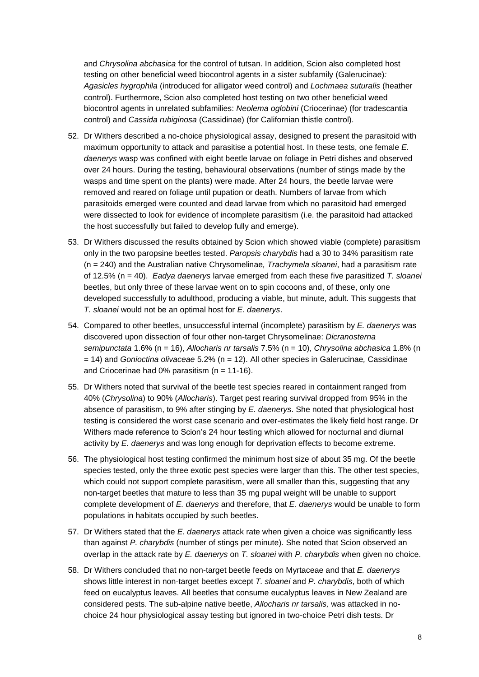and *Chrysolina abchasica* for the control of tutsan. In addition, Scion also completed host testing on other beneficial weed biocontrol agents in a sister subfamily (Galerucinae)*: Agasicles hygrophila* (introduced for alligator weed control) and *Lochmaea suturalis* (heather control). Furthermore, Scion also completed host testing on two other beneficial weed biocontrol agents in unrelated subfamilies: *Neolema oglobini* (Criocerinae) (for tradescantia control) and *Cassida rubiginosa* (Cassidinae) (for Californian thistle control).

- 52. Dr Withers described a no-choice physiological assay, designed to present the parasitoid with maximum opportunity to attack and parasitise a potential host. In these tests, one female *E. daenerys* wasp was confined with eight beetle larvae on foliage in Petri dishes and observed over 24 hours. During the testing, behavioural observations (number of stings made by the wasps and time spent on the plants) were made. After 24 hours, the beetle larvae were removed and reared on foliage until pupation or death. Numbers of larvae from which parasitoids emerged were counted and dead larvae from which no parasitoid had emerged were dissected to look for evidence of incomplete parasitism (i.e. the parasitoid had attacked the host successfully but failed to develop fully and emerge).
- 53. Dr Withers discussed the results obtained by Scion which showed viable (complete) parasitism only in the two paropsine beetles tested. *Paropsis charybdis* had a 30 to 34% parasitism rate (n = 240) and the Australian native Chrysomelinae*, Trachymela sloanei*, had a parasitism rate of 12.5% (n = 40). *Eadya daenerys* larvae emerged from each these five parasitized *T. sloanei* beetles, but only three of these larvae went on to spin cocoons and, of these, only one developed successfully to adulthood, producing a viable, but minute, adult. This suggests that *T. sloanei* would not be an optimal host for *E. daenerys*.
- 54. Compared to other beetles, unsuccessful internal (incomplete) parasitism by *E. daenerys* was discovered upon dissection of four other non-target Chrysomelinae: *Dicranosterna semipunctata* 1.6% (n = 16), *Allocharis nr tarsalis* 7.5% (n = 10), *Chrysolina abchasica* 1.8% (n = 14) and *Gonioctina olivaceae* 5.2% (n = 12). All other species in Galerucinae*,* Cassidinae and Criocerinae had  $0\%$  parasitism ( $n = 11-16$ ).
- 55. Dr Withers noted that survival of the beetle test species reared in containment ranged from 40% (*Chrysolina*) to 90% (*Allocharis*). Target pest rearing survival dropped from 95% in the absence of parasitism, to 9% after stinging by *E. daenerys*. She noted that physiological host testing is considered the worst case scenario and over-estimates the likely field host range. Dr Withers made reference to Scion's 24 hour testing which allowed for nocturnal and diurnal activity by *E. daenerys* and was long enough for deprivation effects to become extreme.
- 56. The physiological host testing confirmed the minimum host size of about 35 mg. Of the beetle species tested, only the three exotic pest species were larger than this. The other test species, which could not support complete parasitism, were all smaller than this, suggesting that any non-target beetles that mature to less than 35 mg pupal weight will be unable to support complete development of *E. daenerys* and therefore, that *E. daenerys* would be unable to form populations in habitats occupied by such beetles.
- 57. Dr Withers stated that the *E. daenerys* attack rate when given a choice was significantly less than against *P. charybdis* (number of stings per minute). She noted that Scion observed an overlap in the attack rate by *E. daenerys* on *T. sloanei* with *P. charybdis* when given no choice.
- 58. Dr Withers concluded that no non-target beetle feeds on Myrtaceae and that *E. daenerys* shows little interest in non-target beetles except *T. sloanei* and *P. charybdis*, both of which feed on eucalyptus leaves. All beetles that consume eucalyptus leaves in New Zealand are considered pests. The sub-alpine native beetle, *Allocharis nr tarsalis,* was attacked in nochoice 24 hour physiological assay testing but ignored in two-choice Petri dish tests. Dr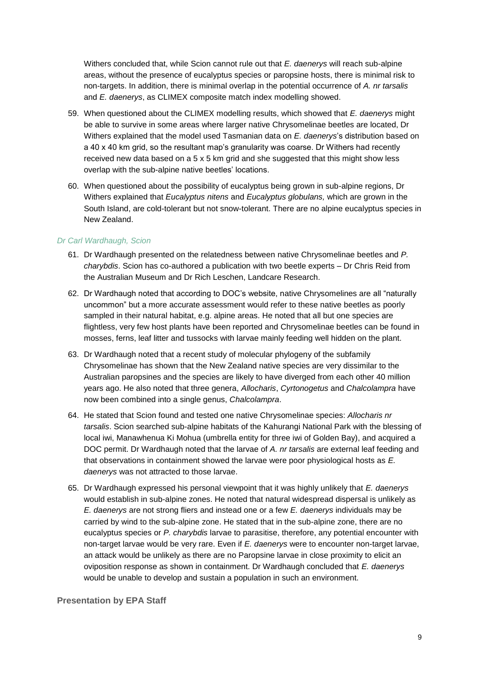Withers concluded that, while Scion cannot rule out that *E. daenerys* will reach sub-alpine areas, without the presence of eucalyptus species or paropsine hosts, there is minimal risk to non-targets. In addition, there is minimal overlap in the potential occurrence of *A. nr tarsalis* and *E. daenerys*, as CLIMEX composite match index modelling showed.

- 59. When questioned about the CLIMEX modelling results, which showed that *E. daenerys* might be able to survive in some areas where larger native Chrysomelinae beetles are located, Dr Withers explained that the model used Tasmanian data on *E. daenerys*'s distribution based on a 40 x 40 km grid, so the resultant map's granularity was coarse. Dr Withers had recently received new data based on a  $5 \times 5$  km grid and she suggested that this might show less overlap with the sub-alpine native beetles' locations.
- 60. When questioned about the possibility of eucalyptus being grown in sub-alpine regions, Dr Withers explained that *Eucalyptus nitens* and *Eucalyptus globulans,* which are grown in the South Island, are cold-tolerant but not snow-tolerant. There are no alpine eucalyptus species in New Zealand.

#### *Dr Carl Wardhaugh, Scion*

- 61. Dr Wardhaugh presented on the relatedness between native Chrysomelinae beetles and *P. charybdis*. Scion has co-authored a publication with two beetle experts – Dr Chris Reid from the Australian Museum and Dr Rich Leschen, Landcare Research.
- 62. Dr Wardhaugh noted that according to DOC's website, native Chrysomelines are all "naturally uncommon" but a more accurate assessment would refer to these native beetles as poorly sampled in their natural habitat, e.g. alpine areas. He noted that all but one species are flightless, very few host plants have been reported and Chrysomelinae beetles can be found in mosses, ferns, leaf litter and tussocks with larvae mainly feeding well hidden on the plant.
- 63. Dr Wardhaugh noted that a recent study of molecular phylogeny of the subfamily Chrysomelinae has shown that the New Zealand native species are very dissimilar to the Australian paropsines and the species are likely to have diverged from each other 40 million years ago. He also noted that three genera, *Allocharis*, *Cyrtonogetus* and *Chalcolampra* have now been combined into a single genus, *Chalcolampra*.
- 64. He stated that Scion found and tested one native Chrysomelinae species: *Allocharis nr tarsalis*. Scion searched sub-alpine habitats of the Kahurangi National Park with the blessing of local iwi, Manawhenua Ki Mohua (umbrella entity for three iwi of Golden Bay), and acquired a DOC permit. Dr Wardhaugh noted that the larvae of *A. nr tarsalis* are external leaf feeding and that observations in containment showed the larvae were poor physiological hosts as *E. daenerys* was not attracted to those larvae.
- 65. Dr Wardhaugh expressed his personal viewpoint that it was highly unlikely that *E. daenerys* would establish in sub-alpine zones. He noted that natural widespread dispersal is unlikely as *E. daenerys* are not strong fliers and instead one or a few *E. daenerys* individuals may be carried by wind to the sub-alpine zone. He stated that in the sub-alpine zone, there are no eucalyptus species or *P. charybdis* larvae to parasitise, therefore, any potential encounter with non-target larvae would be very rare. Even if *E. daenerys* were to encounter non-target larvae, an attack would be unlikely as there are no Paropsine larvae in close proximity to elicit an oviposition response as shown in containment. Dr Wardhaugh concluded that *E. daenerys* would be unable to develop and sustain a population in such an environment.

**Presentation by EPA Staff**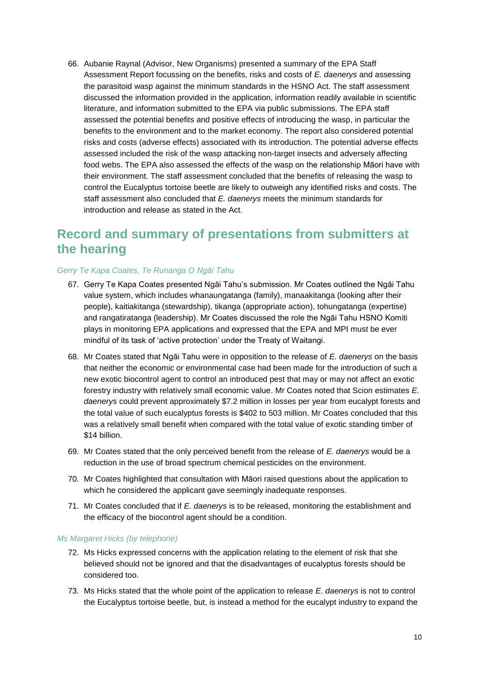66. Aubanie Raynal (Advisor, New Organisms) presented a summary of the EPA Staff Assessment Report focussing on the benefits, risks and costs of *E. daenerys* and assessing the parasitoid wasp against the minimum standards in the HSNO Act. The staff assessment discussed the information provided in the application, information readily available in scientific literature, and information submitted to the EPA via public submissions. The EPA staff assessed the potential benefits and positive effects of introducing the wasp, in particular the benefits to the environment and to the market economy. The report also considered potential risks and costs (adverse effects) associated with its introduction. The potential adverse effects assessed included the risk of the wasp attacking non-target insects and adversely affecting food webs. The EPA also assessed the effects of the wasp on the relationship Māori have with their environment. The staff assessment concluded that the benefits of releasing the wasp to control the Eucalyptus tortoise beetle are likely to outweigh any identified risks and costs. The staff assessment also concluded that *E. daenerys* meets the minimum standards for introduction and release as stated in the Act.

# **Record and summary of presentations from submitters at the hearing**

### *Gerry Te Kapa Coates, Te Runanga O Ngāi Tahu*

- 67. Gerry Te Kapa Coates presented Ngāi Tahu's submission. Mr Coates outlined the Ngāi Tahu value system, which includes whanaungatanga (family), manaakitanga (looking after their people), kaitiakitanga (stewardship), tikanga (appropriate action), tohungatanga (expertise) and rangatiratanga (leadership). Mr Coates discussed the role the Ngāi Tahu HSNO Komiti plays in monitoring EPA applications and expressed that the EPA and MPI must be ever mindful of its task of 'active protection' under the Treaty of Waitangi.
- 68. Mr Coates stated that Ngāi Tahu were in opposition to the release of *E. daenerys* on the basis that neither the economic or environmental case had been made for the introduction of such a new exotic biocontrol agent to control an introduced pest that may or may not affect an exotic forestry industry with relatively small economic value. Mr Coates noted that Scion estimates *E. daenerys* could prevent approximately \$7.2 million in losses per year from eucalypt forests and the total value of such eucalyptus forests is \$402 to 503 million. Mr Coates concluded that this was a relatively small benefit when compared with the total value of exotic standing timber of \$14 billion.
- 69. Mr Coates stated that the only perceived benefit from the release of *E. daenerys* would be a reduction in the use of broad spectrum chemical pesticides on the environment.
- 70. Mr Coates highlighted that consultation with Māori raised questions about the application to which he considered the applicant gave seemingly inadequate responses.
- 71. Mr Coates concluded that if *E. daenerys* is to be released, monitoring the establishment and the efficacy of the biocontrol agent should be a condition.

#### *Ms Margaret Hicks (by telephone)*

- 72. Ms Hicks expressed concerns with the application relating to the element of risk that she believed should not be ignored and that the disadvantages of eucalyptus forests should be considered too.
- 73. Ms Hicks stated that the whole point of the application to release *E. daenerys* is not to control the Eucalyptus tortoise beetle, but, is instead a method for the eucalypt industry to expand the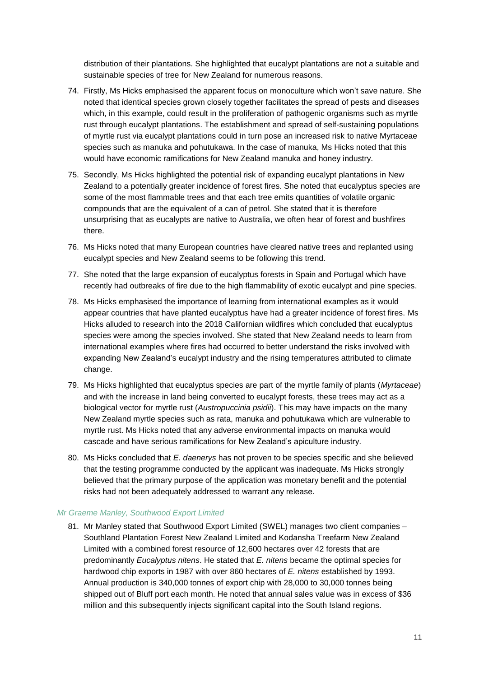distribution of their plantations. She highlighted that eucalypt plantations are not a suitable and sustainable species of tree for New Zealand for numerous reasons.

- 74. Firstly, Ms Hicks emphasised the apparent focus on monoculture which won't save nature. She noted that identical species grown closely together facilitates the spread of pests and diseases which, in this example, could result in the proliferation of pathogenic organisms such as myrtle rust through eucalypt plantations. The establishment and spread of self-sustaining populations of myrtle rust via eucalypt plantations could in turn pose an increased risk to native Myrtaceae species such as manuka and pohutukawa. In the case of manuka, Ms Hicks noted that this would have economic ramifications for New Zealand manuka and honey industry.
- 75. Secondly, Ms Hicks highlighted the potential risk of expanding eucalypt plantations in New Zealand to a potentially greater incidence of forest fires. She noted that eucalyptus species are some of the most flammable trees and that each tree emits quantities of volatile organic compounds that are the equivalent of a can of petrol. She stated that it is therefore unsurprising that as eucalypts are native to Australia, we often hear of forest and bushfires there.
- 76. Ms Hicks noted that many European countries have cleared native trees and replanted using eucalypt species and New Zealand seems to be following this trend.
- 77. She noted that the large expansion of eucalyptus forests in Spain and Portugal which have recently had outbreaks of fire due to the high flammability of exotic eucalypt and pine species.
- 78. Ms Hicks emphasised the importance of learning from international examples as it would appear countries that have planted eucalyptus have had a greater incidence of forest fires. Ms Hicks alluded to research into the 2018 Californian wildfires which concluded that eucalyptus species were among the species involved. She stated that New Zealand needs to learn from international examples where fires had occurred to better understand the risks involved with expanding New Zealand's eucalypt industry and the rising temperatures attributed to climate change.
- 79. Ms Hicks highlighted that eucalyptus species are part of the myrtle family of plants (*Myrtaceae*) and with the increase in land being converted to eucalypt forests, these trees may act as a biological vector for myrtle rust (*Austropuccinia psidii*). This may have impacts on the many New Zealand myrtle species such as rata, manuka and pohutukawa which are vulnerable to myrtle rust. Ms Hicks noted that any adverse environmental impacts on manuka would cascade and have serious ramifications for New Zealand's apiculture industry.
- 80. Ms Hicks concluded that *E. daenerys* has not proven to be species specific and she believed that the testing programme conducted by the applicant was inadequate. Ms Hicks strongly believed that the primary purpose of the application was monetary benefit and the potential risks had not been adequately addressed to warrant any release.

#### *Mr Graeme Manley, Southwood Export Limited*

81. Mr Manley stated that Southwood Export Limited (SWEL) manages two client companies -Southland Plantation Forest New Zealand Limited and Kodansha Treefarm New Zealand Limited with a combined forest resource of 12,600 hectares over 42 forests that are predominantly *Eucalyptus nitens*. He stated that *E. nitens* became the optimal species for hardwood chip exports in 1987 with over 860 hectares of *E. nitens* established by 1993. Annual production is 340,000 tonnes of export chip with 28,000 to 30,000 tonnes being shipped out of Bluff port each month. He noted that annual sales value was in excess of \$36 million and this subsequently injects significant capital into the South Island regions.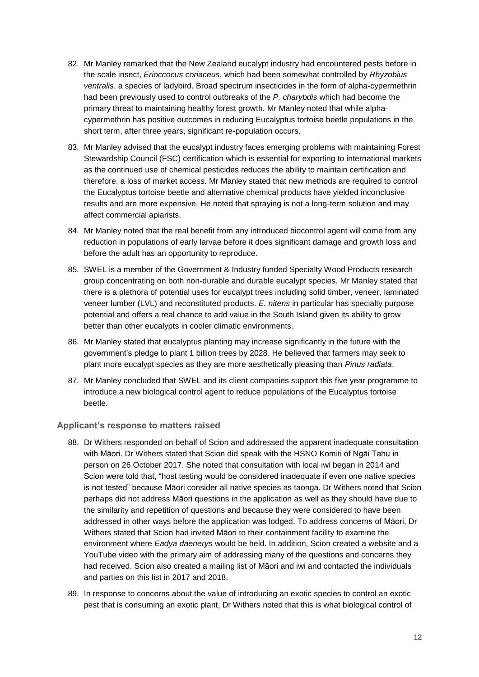- 82. Mr Manley remarked that the New Zealand eucalypt industry had encountered pests before in the scale insect, *Erioccocus coriaceus*, which had been somewhat controlled by *Rhyzobius ventralis*, a species of ladybird. Broad spectrum insecticides in the form of alpha-cypermethrin had been previously used to control outbreaks of the *P. charybdis* which had become the primary threat to maintaining healthy forest growth. Mr Manley noted that while alphacypermethrin has positive outcomes in reducing Eucalyptus tortoise beetle populations in the short term, after three years, significant re-population occurs.
- 83. Mr Manley advised that the eucalypt industry faces emerging problems with maintaining Forest Stewardship Council (FSC) certification which is essential for exporting to international markets as the continued use of chemical pesticides reduces the ability to maintain certification and therefore, a loss of market access. Mr Manley stated that new methods are required to control the Eucalyptus tortoise beetle and alternative chemical products have yielded inconclusive results and are more expensive. He noted that spraying is not a long-term solution and may affect commercial apiarists.
- 84. Mr Manley noted that the real benefit from any introduced biocontrol agent will come from any reduction in populations of early larvae before it does significant damage and growth loss and before the adult has an opportunity to reproduce.
- 85. SWEL is a member of the Government & Industry funded Specialty Wood Products research group concentrating on both non-durable and durable eucalypt species. Mr Manley stated that there is a plethora of potential uses for eucalypt trees including solid timber, veneer, laminated veneer lumber (LVL) and reconstituted products. *E. nitens* in particular has specialty purpose potential and offers a real chance to add value in the South Island given its ability to grow better than other eucalypts in cooler climatic environments.
- 86. Mr Manley stated that eucalyptus planting may increase significantly in the future with the government's pledge to plant 1 billion trees by 2028. He believed that farmers may seek to plant more eucalypt species as they are more aesthetically pleasing than *Pinus radiata*.
- 87. Mr Manley concluded that SWEL and its client companies support this five year programme to introduce a new biological control agent to reduce populations of the Eucalyptus tortoise beetle.

### **Applicant's response to matters raised**

- 88. Dr Withers responded on behalf of Scion and addressed the apparent inadequate consultation with Māori. Dr Withers stated that Scion did speak with the HSNO Komiti of Ngāi Tahu in person on 26 October 2017. She noted that consultation with local iwi began in 2014 and Scion were told that, "host testing would be considered inadequate if even one native species is not tested" because Māori consider all native species as taonga. Dr Withers noted that Scion perhaps did not address Māori questions in the application as well as they should have due to the similarity and repetition of questions and because they were considered to have been addressed in other ways before the application was lodged. To address concerns of Māori, Dr Withers stated that Scion had invited Māori to their containment facility to examine the environment where *Eadya daenerys* would be held. In addition, Scion created a website and a YouTube video with the primary aim of addressing many of the questions and concerns they had received. Scion also created a mailing list of Māori and iwi and contacted the individuals and parties on this list in 2017 and 2018.
- 89. In response to concerns about the value of introducing an exotic species to control an exotic pest that is consuming an exotic plant, Dr Withers noted that this is what biological control of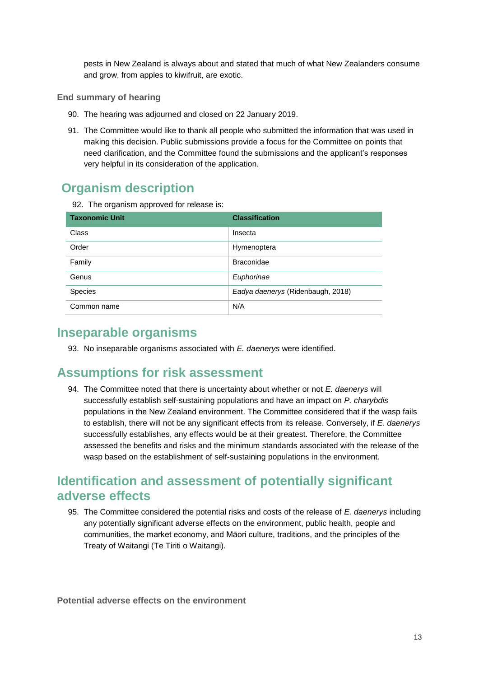pests in New Zealand is always about and stated that much of what New Zealanders consume and grow, from apples to kiwifruit, are exotic.

### **End summary of hearing**

- 90. The hearing was adjourned and closed on 22 January 2019.
- 91. The Committee would like to thank all people who submitted the information that was used in making this decision. Public submissions provide a focus for the Committee on points that need clarification, and the Committee found the submissions and the applicant's responses very helpful in its consideration of the application.

# **Organism description**

92. The organism approved for release is:

| <b>Taxonomic Unit</b> | <b>Classification</b>             |
|-----------------------|-----------------------------------|
| Class                 | Insecta                           |
| Order                 | Hymenoptera                       |
| Family                | <b>Braconidae</b>                 |
| Genus                 | Euphorinae                        |
| <b>Species</b>        | Eadya daenerys (Ridenbaugh, 2018) |
| Common name           | N/A                               |

# **Inseparable organisms**

93. No inseparable organisms associated with *E. daenerys* were identified.

# **Assumptions for risk assessment**

94. The Committee noted that there is uncertainty about whether or not *E. daenerys* will successfully establish self-sustaining populations and have an impact on *P. charybdis* populations in the New Zealand environment. The Committee considered that if the wasp fails to establish, there will not be any significant effects from its release. Conversely, if *E. daenerys* successfully establishes, any effects would be at their greatest. Therefore, the Committee assessed the benefits and risks and the minimum standards associated with the release of the wasp based on the establishment of self-sustaining populations in the environment.

# **Identification and assessment of potentially significant adverse effects**

95. The Committee considered the potential risks and costs of the release of *E. daenerys* including any potentially significant adverse effects on the environment, public health, people and communities, the market economy, and Māori culture, traditions, and the principles of the Treaty of Waitangi (Te Tiriti o Waitangi).

**Potential adverse effects on the environment**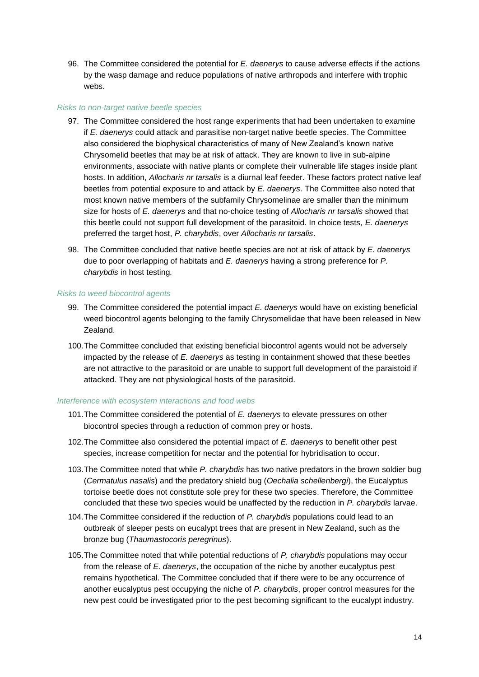96. The Committee considered the potential for *E. daenerys* to cause adverse effects if the actions by the wasp damage and reduce populations of native arthropods and interfere with trophic webs.

### *Risks to non-target native beetle species*

- 97. The Committee considered the host range experiments that had been undertaken to examine if *E. daenerys* could attack and parasitise non-target native beetle species. The Committee also considered the biophysical characteristics of many of New Zealand's known native Chrysomelid beetles that may be at risk of attack. They are known to live in sub-alpine environments, associate with native plants or complete their vulnerable life stages inside plant hosts. In addition, *Allocharis nr tarsalis* is a diurnal leaf feeder. These factors protect native leaf beetles from potential exposure to and attack by *E. daenerys*. The Committee also noted that most known native members of the subfamily Chrysomelinae are smaller than the minimum size for hosts of *E. daenerys* and that no-choice testing of *Allocharis nr tarsalis* showed that this beetle could not support full development of the parasitoid. In choice tests, *E. daenerys* preferred the target host, *P. charybdis*, over *Allocharis nr tarsalis*.
- 98. The Committee concluded that native beetle species are not at risk of attack by *E. daenerys*  due to poor overlapping of habitats and *E. daenerys* having a strong preference for *P. charybdis* in host testing*.*

#### *Risks to weed biocontrol agents*

- 99. The Committee considered the potential impact *E. daenerys* would have on existing beneficial weed biocontrol agents belonging to the family Chrysomelidae that have been released in New Zealand.
- 100.The Committee concluded that existing beneficial biocontrol agents would not be adversely impacted by the release of *E. daenerys* as testing in containment showed that these beetles are not attractive to the parasitoid or are unable to support full development of the paraistoid if attacked. They are not physiological hosts of the parasitoid.

#### *Interference with ecosystem interactions and food webs*

- 101.The Committee considered the potential of *E. daenerys* to elevate pressures on other biocontrol species through a reduction of common prey or hosts.
- 102.The Committee also considered the potential impact of *E. daenerys* to benefit other pest species, increase competition for nectar and the potential for hybridisation to occur.
- 103.The Committee noted that while *P. charybdis* has two native predators in the brown soldier bug (*Cermatulus nasalis*) and the predatory shield bug (*Oechalia schellenbergi*), the Eucalyptus tortoise beetle does not constitute sole prey for these two species. Therefore, the Committee concluded that these two species would be unaffected by the reduction in *P. charybdis* larvae.
- 104.The Committee considered if the reduction of *P. charybdis* populations could lead to an outbreak of sleeper pests on eucalypt trees that are present in New Zealand, such as the bronze bug (*Thaumastocoris peregrinus*).
- 105.The Committee noted that while potential reductions of *P. charybdis* populations may occur from the release of *E. daenerys*, the occupation of the niche by another eucalyptus pest remains hypothetical. The Committee concluded that if there were to be any occurrence of another eucalyptus pest occupying the niche of *P. charybdis*, proper control measures for the new pest could be investigated prior to the pest becoming significant to the eucalypt industry.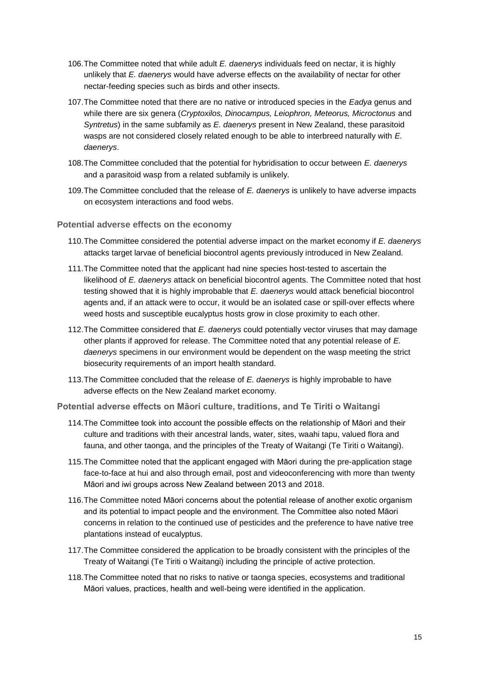- 106.The Committee noted that while adult *E. daenerys* individuals feed on nectar, it is highly unlikely that *E. daenerys* would have adverse effects on the availability of nectar for other nectar-feeding species such as birds and other insects.
- 107.The Committee noted that there are no native or introduced species in the *Eadya* genus and while there are six genera (*Cryptoxilos, Dinocampus, Leiophron, Meteorus, Microctonus* and *Syntretus*) in the same subfamily as *E. daenerys* present in New Zealand, these parasitoid wasps are not considered closely related enough to be able to interbreed naturally with *E. daenerys*.
- 108.The Committee concluded that the potential for hybridisation to occur between *E. daenerys*  and a parasitoid wasp from a related subfamily is unlikely.
- 109.The Committee concluded that the release of *E. daenerys* is unlikely to have adverse impacts on ecosystem interactions and food webs.

**Potential adverse effects on the economy**

- 110.The Committee considered the potential adverse impact on the market economy if *E. daenerys*  attacks target larvae of beneficial biocontrol agents previously introduced in New Zealand.
- 111.The Committee noted that the applicant had nine species host-tested to ascertain the likelihood of *E. daenerys* attack on beneficial biocontrol agents. The Committee noted that host testing showed that it is highly improbable that *E. daenerys* would attack beneficial biocontrol agents and, if an attack were to occur, it would be an isolated case or spill-over effects where weed hosts and susceptible eucalyptus hosts grow in close proximity to each other.
- 112.The Committee considered that *E. daenerys* could potentially vector viruses that may damage other plants if approved for release. The Committee noted that any potential release of *E. daenerys* specimens in our environment would be dependent on the wasp meeting the strict biosecurity requirements of an import health standard.
- 113.The Committee concluded that the release of *E. daenerys* is highly improbable to have adverse effects on the New Zealand market economy.

**Potential adverse effects on Māori culture, traditions, and Te Tiriti o Waitangi**

- 114.The Committee took into account the possible effects on the relationship of Māori and their culture and traditions with their ancestral lands, water, sites, waahi tapu, valued flora and fauna, and other taonga, and the principles of the Treaty of Waitangi (Te Tiriti o Waitangi).
- 115.The Committee noted that the applicant engaged with Māori during the pre-application stage face-to-face at hui and also through email, post and videoconferencing with more than twenty Māori and iwi groups across New Zealand between 2013 and 2018.
- 116.The Committee noted Māori concerns about the potential release of another exotic organism and its potential to impact people and the environment. The Committee also noted Māori concerns in relation to the continued use of pesticides and the preference to have native tree plantations instead of eucalyptus.
- 117.The Committee considered the application to be broadly consistent with the principles of the Treaty of Waitangi (Te Tiriti o Waitangi) including the principle of active protection.
- 118.The Committee noted that no risks to native or taonga species, ecosystems and traditional Māori values, practices, health and well-being were identified in the application.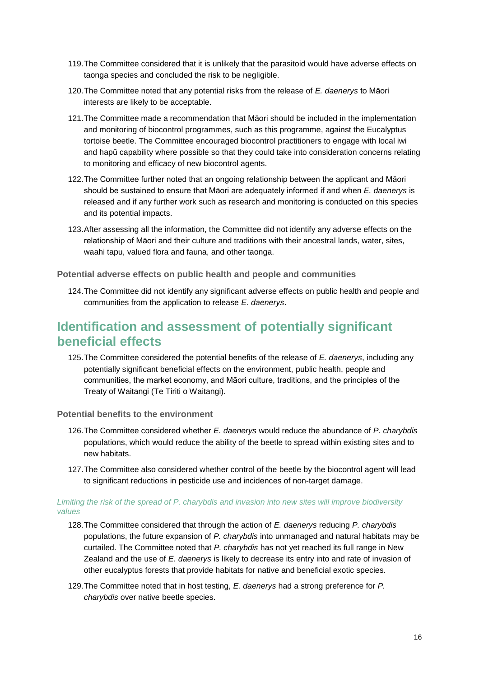- 119.The Committee considered that it is unlikely that the parasitoid would have adverse effects on taonga species and concluded the risk to be negligible.
- 120.The Committee noted that any potential risks from the release of *E. daenerys* to Māori interests are likely to be acceptable.
- 121.The Committee made a recommendation that Māori should be included in the implementation and monitoring of biocontrol programmes, such as this programme, against the Eucalyptus tortoise beetle. The Committee encouraged biocontrol practitioners to engage with local iwi and hapū capability where possible so that they could take into consideration concerns relating to monitoring and efficacy of new biocontrol agents.
- 122.The Committee further noted that an ongoing relationship between the applicant and Māori should be sustained to ensure that Māori are adequately informed if and when *E. daenerys* is released and if any further work such as research and monitoring is conducted on this species and its potential impacts.
- 123.After assessing all the information, the Committee did not identify any adverse effects on the relationship of Māori and their culture and traditions with their ancestral lands, water, sites, waahi tapu, valued flora and fauna, and other taonga.

**Potential adverse effects on public health and people and communities** 

124.The Committee did not identify any significant adverse effects on public health and people and communities from the application to release *E. daenerys*.

# **Identification and assessment of potentially significant beneficial effects**

125.The Committee considered the potential benefits of the release of *E. daenerys*, including any potentially significant beneficial effects on the environment, public health, people and communities, the market economy, and Māori culture, traditions, and the principles of the Treaty of Waitangi (Te Tiriti o Waitangi).

**Potential benefits to the environment**

- 126.The Committee considered whether *E. daenerys* would reduce the abundance of *P. charybdis* populations, which would reduce the ability of the beetle to spread within existing sites and to new habitats.
- 127.The Committee also considered whether control of the beetle by the biocontrol agent will lead to significant reductions in pesticide use and incidences of non-target damage.

#### *Limiting the risk of the spread of P. charybdis and invasion into new sites will improve biodiversity values*

- 128.The Committee considered that through the action of *E. daenerys* reducing *P. charybdis* populations, the future expansion of *P. charybdis* into unmanaged and natural habitats may be curtailed. The Committee noted that *P. charybdis* has not yet reached its full range in New Zealand and the use of *E. daenerys* is likely to decrease its entry into and rate of invasion of other eucalyptus forests that provide habitats for native and beneficial exotic species.
- 129.The Committee noted that in host testing, *E. daenerys* had a strong preference for *P. charybdis* over native beetle species.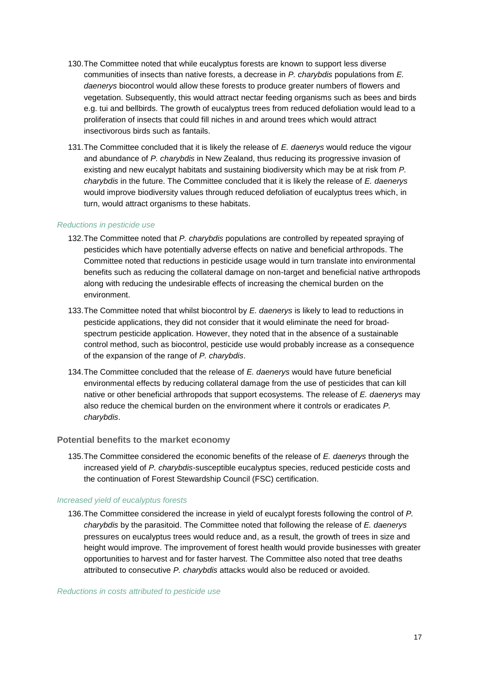- 130.The Committee noted that while eucalyptus forests are known to support less diverse communities of insects than native forests, a decrease in *P. charybdis* populations from *E. daenerys* biocontrol would allow these forests to produce greater numbers of flowers and vegetation. Subsequently, this would attract nectar feeding organisms such as bees and birds e.g. tui and bellbirds. The growth of eucalyptus trees from reduced defoliation would lead to a proliferation of insects that could fill niches in and around trees which would attract insectivorous birds such as fantails.
- 131.The Committee concluded that it is likely the release of *E. daenerys* would reduce the vigour and abundance of *P. charybdis* in New Zealand, thus reducing its progressive invasion of existing and new eucalypt habitats and sustaining biodiversity which may be at risk from *P. charybdis* in the future. The Committee concluded that it is likely the release of *E. daenerys*  would improve biodiversity values through reduced defoliation of eucalyptus trees which, in turn, would attract organisms to these habitats.

### *Reductions in pesticide use*

- 132.The Committee noted that *P. charybdis* populations are controlled by repeated spraying of pesticides which have potentially adverse effects on native and beneficial arthropods. The Committee noted that reductions in pesticide usage would in turn translate into environmental benefits such as reducing the collateral damage on non-target and beneficial native arthropods along with reducing the undesirable effects of increasing the chemical burden on the environment.
- 133.The Committee noted that whilst biocontrol by *E. daenerys* is likely to lead to reductions in pesticide applications, they did not consider that it would eliminate the need for broadspectrum pesticide application. However, they noted that in the absence of a sustainable control method, such as biocontrol, pesticide use would probably increase as a consequence of the expansion of the range of *P. charybdis*.
- 134.The Committee concluded that the release of *E. daenerys* would have future beneficial environmental effects by reducing collateral damage from the use of pesticides that can kill native or other beneficial arthropods that support ecosystems. The release of *E. daenerys* may also reduce the chemical burden on the environment where it controls or eradicates *P. charybdis*.

### **Potential benefits to the market economy**

135.The Committee considered the economic benefits of the release of *E. daenerys* through the increased yield of *P. charybdis*-susceptible eucalyptus species, reduced pesticide costs and the continuation of Forest Stewardship Council (FSC) certification.

#### *Increased yield of eucalyptus forests*

136.The Committee considered the increase in yield of eucalypt forests following the control of *P. charybdis* by the parasitoid. The Committee noted that following the release of *E. daenerys* pressures on eucalyptus trees would reduce and, as a result, the growth of trees in size and height would improve. The improvement of forest health would provide businesses with greater opportunities to harvest and for faster harvest. The Committee also noted that tree deaths attributed to consecutive *P. charybdis* attacks would also be reduced or avoided.

#### *Reductions in costs attributed to pesticide use*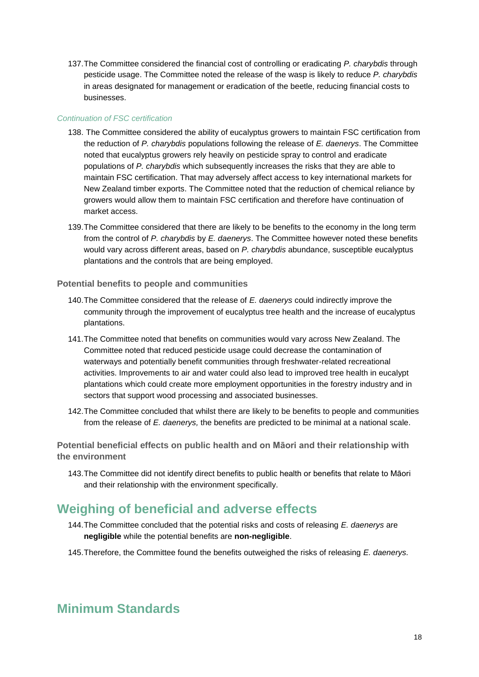137.The Committee considered the financial cost of controlling or eradicating *P. charybdis* through pesticide usage. The Committee noted the release of the wasp is likely to reduce *P. charybdis* in areas designated for management or eradication of the beetle, reducing financial costs to businesses.

### *Continuation of FSC certification*

- 138. The Committee considered the ability of eucalyptus growers to maintain FSC certification from the reduction of *P. charybdis* populations following the release of *E. daenerys*. The Committee noted that eucalyptus growers rely heavily on pesticide spray to control and eradicate populations of *P. charybdis* which subsequently increases the risks that they are able to maintain FSC certification. That may adversely affect access to key international markets for New Zealand timber exports. The Committee noted that the reduction of chemical reliance by growers would allow them to maintain FSC certification and therefore have continuation of market access.
- 139.The Committee considered that there are likely to be benefits to the economy in the long term from the control of *P. charybdis* by *E. daenerys*. The Committee however noted these benefits would vary across different areas, based on *P. charybdis* abundance, susceptible eucalyptus plantations and the controls that are being employed.

**Potential benefits to people and communities**

- 140.The Committee considered that the release of *E. daenerys* could indirectly improve the community through the improvement of eucalyptus tree health and the increase of eucalyptus plantations.
- 141.The Committee noted that benefits on communities would vary across New Zealand. The Committee noted that reduced pesticide usage could decrease the contamination of waterways and potentially benefit communities through freshwater-related recreational activities. Improvements to air and water could also lead to improved tree health in eucalypt plantations which could create more employment opportunities in the forestry industry and in sectors that support wood processing and associated businesses.
- 142.The Committee concluded that whilst there are likely to be benefits to people and communities from the release of *E. daenerys,* the benefits are predicted to be minimal at a national scale.

**Potential beneficial effects on public health and on Māori and their relationship with the environment**

143.The Committee did not identify direct benefits to public health or benefits that relate to Māori and their relationship with the environment specifically.

# **Weighing of beneficial and adverse effects**

- 144.The Committee concluded that the potential risks and costs of releasing *E. daenerys* are **negligible** while the potential benefits are **non-negligible**.
- 145.Therefore, the Committee found the benefits outweighed the risks of releasing *E. daenerys.*

# **Minimum Standards**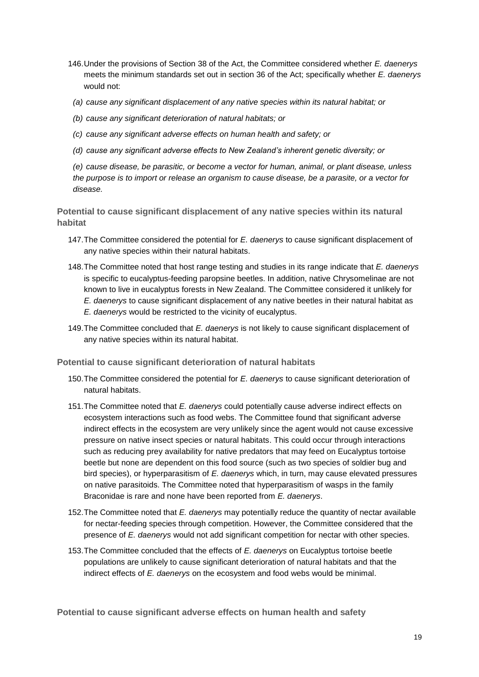- 146.Under the provisions of Section 38 of the Act, the Committee considered whether *E. daenerys*  meets the minimum standards set out in section 36 of the Act; specifically whether *E. daenerys*  would not:
- *(a) cause any significant displacement of any native species within its natural habitat; or*
- *(b) cause any significant deterioration of natural habitats; or*
- *(c) cause any significant adverse effects on human health and safety; or*
- *(d) cause any significant adverse effects to New Zealand's inherent genetic diversity; or*

*(e) cause disease, be parasitic, or become a vector for human, animal, or plant disease, unless the purpose is to import or release an organism to cause disease, be a parasite, or a vector for disease.*

**Potential to cause significant displacement of any native species within its natural habitat**

- 147.The Committee considered the potential for *E. daenerys* to cause significant displacement of any native species within their natural habitats.
- 148.The Committee noted that host range testing and studies in its range indicate that *E. daenerys* is specific to eucalyptus-feeding paropsine beetles. In addition, native Chrysomelinae are not known to live in eucalyptus forests in New Zealand. The Committee considered it unlikely for *E. daenerys* to cause significant displacement of any native beetles in their natural habitat as *E. daenerys* would be restricted to the vicinity of eucalyptus.
- 149.The Committee concluded that *E. daenerys* is not likely to cause significant displacement of any native species within its natural habitat.

**Potential to cause significant deterioration of natural habitats**

- 150.The Committee considered the potential for *E. daenerys* to cause significant deterioration of natural habitats.
- 151.The Committee noted that *E. daenerys* could potentially cause adverse indirect effects on ecosystem interactions such as food webs. The Committee found that significant adverse indirect effects in the ecosystem are very unlikely since the agent would not cause excessive pressure on native insect species or natural habitats. This could occur through interactions such as reducing prey availability for native predators that may feed on Eucalyptus tortoise beetle but none are dependent on this food source (such as two species of soldier bug and bird species), or hyperparasitism of *E. daenerys* which, in turn, may cause elevated pressures on native parasitoids. The Committee noted that hyperparasitism of wasps in the family Braconidae is rare and none have been reported from *E. daenerys*.
- 152.The Committee noted that *E. daenerys* may potentially reduce the quantity of nectar available for nectar-feeding species through competition. However, the Committee considered that the presence of *E. daenerys* would not add significant competition for nectar with other species.
- 153.The Committee concluded that the effects of *E. daenerys* on Eucalyptus tortoise beetle populations are unlikely to cause significant deterioration of natural habitats and that the indirect effects of *E. daenerys* on the ecosystem and food webs would be minimal.

**Potential to cause significant adverse effects on human health and safety**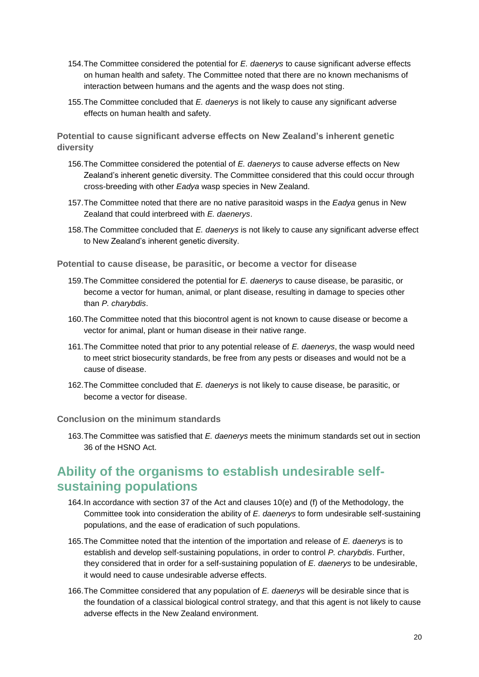- 154.The Committee considered the potential for *E. daenerys* to cause significant adverse effects on human health and safety. The Committee noted that there are no known mechanisms of interaction between humans and the agents and the wasp does not sting.
- 155.The Committee concluded that *E. daenerys* is not likely to cause any significant adverse effects on human health and safety.

**Potential to cause significant adverse effects on New Zealand's inherent genetic diversity**

- 156.The Committee considered the potential of *E. daenerys* to cause adverse effects on New Zealand's inherent genetic diversity. The Committee considered that this could occur through cross-breeding with other *Eadya* wasp species in New Zealand.
- 157.The Committee noted that there are no native parasitoid wasps in the *Eadya* genus in New Zealand that could interbreed with *E. daenerys*.
- 158.The Committee concluded that *E. daenerys* is not likely to cause any significant adverse effect to New Zealand's inherent genetic diversity.

**Potential to cause disease, be parasitic, or become a vector for disease**

- 159.The Committee considered the potential for *E. daenerys* to cause disease, be parasitic, or become a vector for human, animal, or plant disease, resulting in damage to species other than *P. charybdis*.
- 160.The Committee noted that this biocontrol agent is not known to cause disease or become a vector for animal, plant or human disease in their native range.
- 161.The Committee noted that prior to any potential release of *E. daenerys*, the wasp would need to meet strict biosecurity standards, be free from any pests or diseases and would not be a cause of disease.
- 162.The Committee concluded that *E. daenerys* is not likely to cause disease, be parasitic, or become a vector for disease.

### **Conclusion on the minimum standards**

163.The Committee was satisfied that *E. daenerys* meets the minimum standards set out in section 36 of the HSNO Act.

# **Ability of the organisms to establish undesirable selfsustaining populations**

- 164.In accordance with section 37 of the Act and clauses 10(e) and (f) of the Methodology, the Committee took into consideration the ability of *E. daenerys* to form undesirable self-sustaining populations, and the ease of eradication of such populations.
- 165.The Committee noted that the intention of the importation and release of *E. daenerys* is to establish and develop self-sustaining populations, in order to control *P. charybdis*. Further, they considered that in order for a self-sustaining population of *E. daenerys* to be undesirable, it would need to cause undesirable adverse effects.
- 166.The Committee considered that any population of *E. daenerys* will be desirable since that is the foundation of a classical biological control strategy, and that this agent is not likely to cause adverse effects in the New Zealand environment.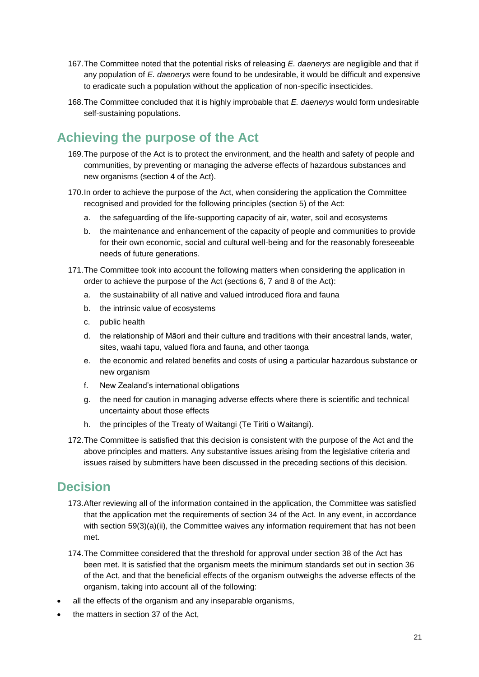- 167.The Committee noted that the potential risks of releasing *E. daenerys* are negligible and that if any population of *E. daenerys* were found to be undesirable, it would be difficult and expensive to eradicate such a population without the application of non-specific insecticides.
- 168.The Committee concluded that it is highly improbable that *E. daenerys* would form undesirable self-sustaining populations.

# **Achieving the purpose of the Act**

- 169.The purpose of the Act is to protect the environment, and the health and safety of people and communities, by preventing or managing the adverse effects of hazardous substances and new organisms (section 4 of the Act).
- 170.In order to achieve the purpose of the Act, when considering the application the Committee recognised and provided for the following principles (section 5) of the Act:
	- a. the safeguarding of the life-supporting capacity of air, water, soil and ecosystems
	- b. the maintenance and enhancement of the capacity of people and communities to provide for their own economic, social and cultural well-being and for the reasonably foreseeable needs of future generations.
- 171.The Committee took into account the following matters when considering the application in order to achieve the purpose of the Act (sections 6, 7 and 8 of the Act):
	- a. the sustainability of all native and valued introduced flora and fauna
	- b. the intrinsic value of ecosystems
	- c. public health
	- d. the relationship of Māori and their culture and traditions with their ancestral lands, water, sites, waahi tapu, valued flora and fauna, and other taonga
	- e. the economic and related benefits and costs of using a particular hazardous substance or new organism
	- f. New Zealand's international obligations
	- g. the need for caution in managing adverse effects where there is scientific and technical uncertainty about those effects
	- h. the principles of the Treaty of Waitangi (Te Tiriti o Waitangi).
- 172.The Committee is satisfied that this decision is consistent with the purpose of the Act and the above principles and matters. Any substantive issues arising from the legislative criteria and issues raised by submitters have been discussed in the preceding sections of this decision.

# **Decision**

- 173.After reviewing all of the information contained in the application, the Committee was satisfied that the application met the requirements of section 34 of the Act. In any event, in accordance with section 59(3)(a)(ii), the Committee waives any information requirement that has not been met.
- 174.The Committee considered that the threshold for approval under section 38 of the Act has been met. It is satisfied that the organism meets the minimum standards set out in section 36 of the Act, and that the beneficial effects of the organism outweighs the adverse effects of the organism, taking into account all of the following:
- all the effects of the organism and any inseparable organisms,
- the matters in section 37 of the Act,